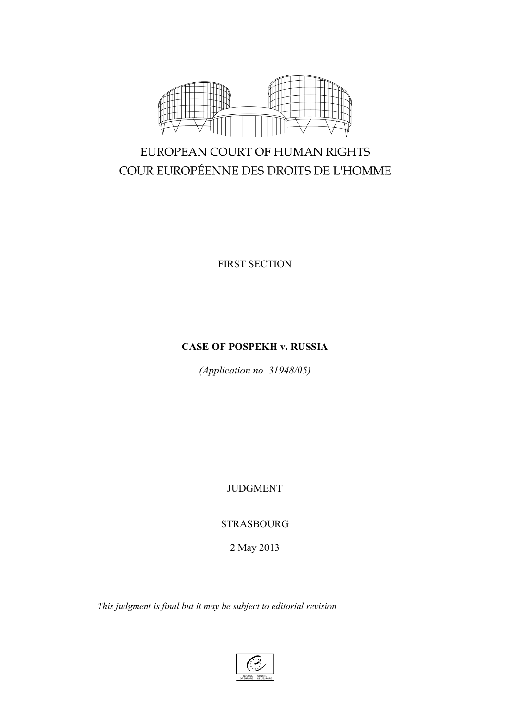

# EUROPEAN COURT OF HUMAN RIGHTS COUR EUROPÉENNE DES DROITS DE L'HOMME

FIRST SECTION

## **CASE OF POSPEKH v. RUSSIA**

*(Application no. 31948/05)*

JUDGMENT

STRASBOURG

2 May 2013

*This judgment is final but it may be subject to editorial revision*

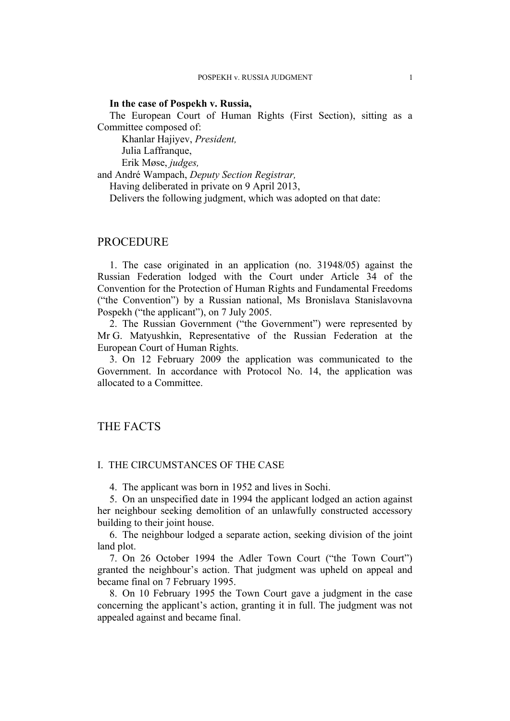#### **In the case of Pospekh v. Russia,**

The European Court of Human Rights (First Section), sitting as a Committee composed of:

Khanlar Hajiyev, *President,* Julia Laffranque,

Erik Møse, *judges,*

and André Wampach, *Deputy Section Registrar,*

Having deliberated in private on 9 April 2013,

Delivers the following judgment, which was adopted on that date:

#### PROCEDURE

1. The case originated in an application (no. 31948/05) against the Russian Federation lodged with the Court under Article 34 of the Convention for the Protection of Human Rights and Fundamental Freedoms ("the Convention") by a Russian national, Ms Bronislava Stanislavovna Pospekh ("the applicant"), on 7 July 2005.

2. The Russian Government ("the Government") were represented by Mr G. Matyushkin, Representative of the Russian Federation at the European Court of Human Rights.

3. On 12 February 2009 the application was communicated to the Government. In accordance with Protocol No. 14, the application was allocated to a Committee.

## THE FACTS

## I. THE CIRCUMSTANCES OF THE CASE

4. The applicant was born in 1952 and lives in Sochi.

5. On an unspecified date in 1994 the applicant lodged an action against her neighbour seeking demolition of an unlawfully constructed accessory building to their joint house.

6. The neighbour lodged a separate action, seeking division of the joint land plot.

7. On 26 October 1994 the Adler Town Court ("the Town Court") granted the neighbour's action. That judgment was upheld on appeal and became final on 7 February 1995.

8. On 10 February 1995 the Town Court gave a judgment in the case concerning the applicant's action, granting it in full. The judgment was not appealed against and became final.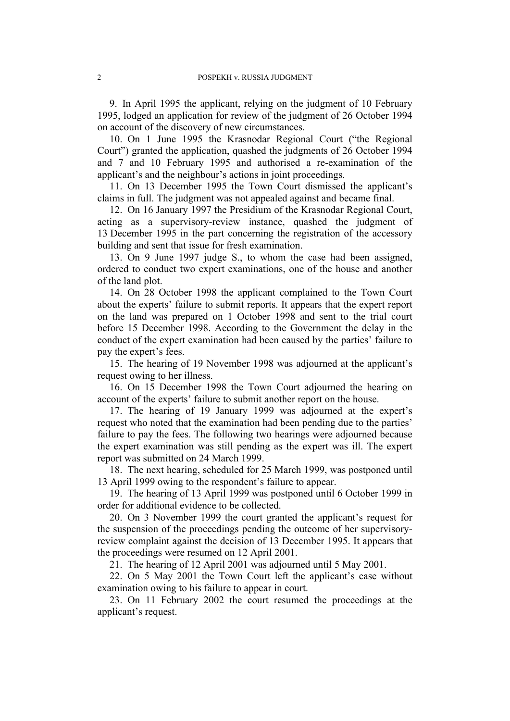9. In April 1995 the applicant, relying on the judgment of 10 February 1995, lodged an application for review of the judgment of 26 October 1994 on account of the discovery of new circumstances.

10. On 1 June 1995 the Krasnodar Regional Court ("the Regional Court") granted the application, quashed the judgments of 26 October 1994 and 7 and 10 February 1995 and authorised a re-examination of the applicant's and the neighbour's actions in joint proceedings.

11. On 13 December 1995 the Town Court dismissed the applicant's claims in full. The judgment was not appealed against and became final.

12. On 16 January 1997 the Presidium of the Krasnodar Regional Court, acting as a supervisory-review instance, quashed the judgment of 13 December 1995 in the part concerning the registration of the accessory building and sent that issue for fresh examination.

13. On 9 June 1997 judge S., to whom the case had been assigned, ordered to conduct two expert examinations, one of the house and another of the land plot.

14. On 28 October 1998 the applicant complained to the Town Court about the experts' failure to submit reports. It appears that the expert report on the land was prepared on 1 October 1998 and sent to the trial court before 15 December 1998. According to the Government the delay in the conduct of the expert examination had been caused by the parties' failure to pay the expert's fees.

15. The hearing of 19 November 1998 was adjourned at the applicant's request owing to her illness.

16. On 15 December 1998 the Town Court adjourned the hearing on account of the experts' failure to submit another report on the house.

17. The hearing of 19 January 1999 was adjourned at the expert's request who noted that the examination had been pending due to the parties' failure to pay the fees. The following two hearings were adjourned because the expert examination was still pending as the expert was ill. The expert report was submitted on 24 March 1999.

18. The next hearing, scheduled for 25 March 1999, was postponed until 13 April 1999 owing to the respondent's failure to appear.

19. The hearing of 13 April 1999 was postponed until 6 October 1999 in order for additional evidence to be collected.

20. On 3 November 1999 the court granted the applicant's request for the suspension of the proceedings pending the outcome of her supervisoryreview complaint against the decision of 13 December 1995. It appears that the proceedings were resumed on 12 April 2001.

21. The hearing of 12 April 2001 was adjourned until 5 May 2001.

22. On 5 May 2001 the Town Court left the applicant's case without examination owing to his failure to appear in court.

23. On 11 February 2002 the court resumed the proceedings at the applicant's request.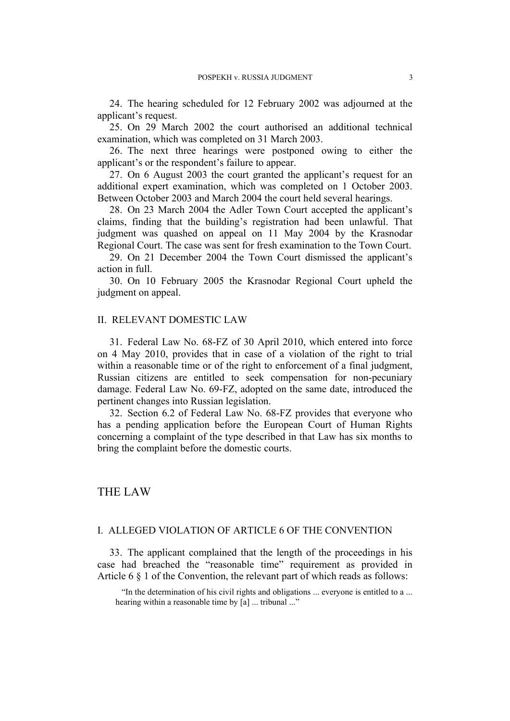24. The hearing scheduled for 12 February 2002 was adjourned at the applicant's request.

25. On 29 March 2002 the court authorised an additional technical examination, which was completed on 31 March 2003.

26. The next three hearings were postponed owing to either the applicant's or the respondent's failure to appear.

27. On 6 August 2003 the court granted the applicant's request for an additional expert examination, which was completed on 1 October 2003. Between October 2003 and March 2004 the court held several hearings.

28. On 23 March 2004 the Adler Town Court accepted the applicant's claims, finding that the building's registration had been unlawful. That judgment was quashed on appeal on 11 May 2004 by the Krasnodar Regional Court. The case was sent for fresh examination to the Town Court.

29. On 21 December 2004 the Town Court dismissed the applicant's action in full.

30. On 10 February 2005 the Krasnodar Regional Court upheld the judgment on appeal.

#### II. RELEVANT DOMESTIC LAW

31. Federal Law No. 68-FZ of 30 April 2010, which entered into force on 4 May 2010, provides that in case of a violation of the right to trial within a reasonable time or of the right to enforcement of a final judgment, Russian citizens are entitled to seek compensation for non-pecuniary damage. Federal Law No. 69-FZ, adopted on the same date, introduced the pertinent changes into Russian legislation.

32. Section 6.2 of Federal Law No. 68-FZ provides that everyone who has a pending application before the European Court of Human Rights concerning a complaint of the type described in that Law has six months to bring the complaint before the domestic courts.

## THE LAW

## I. ALLEGED VIOLATION OF ARTICLE 6 OF THE CONVENTION

33. The applicant complained that the length of the proceedings in his case had breached the "reasonable time" requirement as provided in Article 6 § 1 of the Convention, the relevant part of which reads as follows:

"In the determination of his civil rights and obligations ... everyone is entitled to a ... hearing within a reasonable time by [a] ... tribunal ..."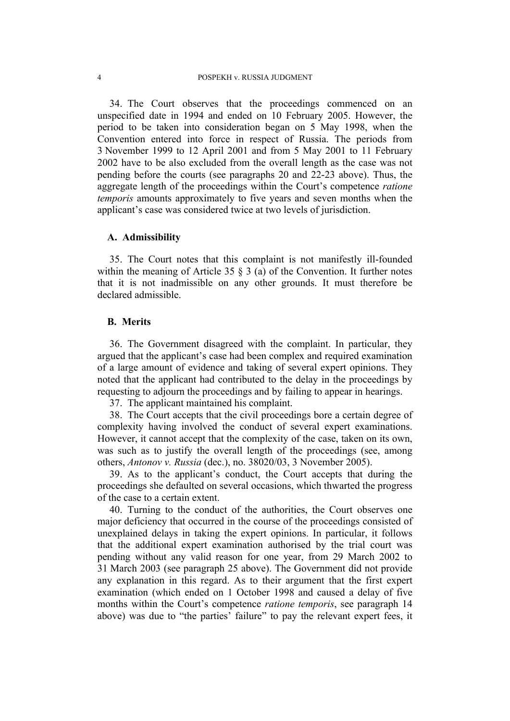34. The Court observes that the proceedings commenced on an unspecified date in 1994 and ended on 10 February 2005. However, the period to be taken into consideration began on 5 May 1998, when the Convention entered into force in respect of Russia. The periods from 3 November 1999 to 12 April 2001 and from 5 May 2001 to 11 February 2002 have to be also excluded from the overall length as the case was not pending before the courts (see paragraphs 20 and 22-23 above). Thus, the aggregate length of the proceedings within the Court's competence *ratione temporis* amounts approximately to five years and seven months when the applicant's case was considered twice at two levels of jurisdiction.

#### **A. Admissibility**

35. The Court notes that this complaint is not manifestly ill-founded within the meaning of Article 35  $\S$  3 (a) of the Convention. It further notes that it is not inadmissible on any other grounds. It must therefore be declared admissible.

#### **B. Merits**

36. The Government disagreed with the complaint. In particular, they argued that the applicant's case had been complex and required examination of a large amount of evidence and taking of several expert opinions. They noted that the applicant had contributed to the delay in the proceedings by requesting to adjourn the proceedings and by failing to appear in hearings.

37. The applicant maintained his complaint.

38. The Court accepts that the civil proceedings bore a certain degree of complexity having involved the conduct of several expert examinations. However, it cannot accept that the complexity of the case, taken on its own, was such as to justify the overall length of the proceedings (see, among others, *Antonov v. Russia* (dec.), no. 38020/03, 3 November 2005).

39. As to the applicant's conduct, the Court accepts that during the proceedings she defaulted on several occasions, which thwarted the progress of the case to a certain extent.

40. Turning to the conduct of the authorities, the Court observes one major deficiency that occurred in the course of the proceedings consisted of unexplained delays in taking the expert opinions. In particular, it follows that the additional expert examination authorised by the trial court was pending without any valid reason for one year, from 29 March 2002 to 31 March 2003 (see paragraph 25 above). The Government did not provide any explanation in this regard. As to their argument that the first expert examination (which ended on 1 October 1998 and caused a delay of five months within the Court's competence *ratione temporis*, see paragraph 14 above) was due to "the parties' failure" to pay the relevant expert fees, it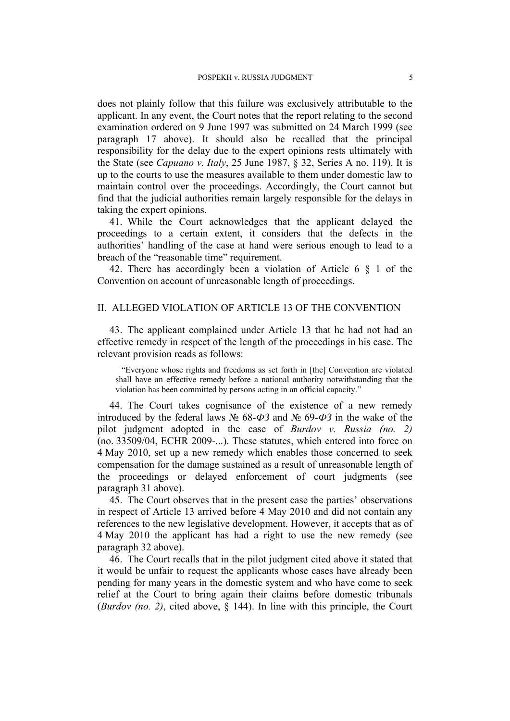does not plainly follow that this failure was exclusively attributable to the applicant. In any event, the Court notes that the report relating to the second examination ordered on 9 June 1997 was submitted on 24 March 1999 (see paragraph 17 above). It should also be recalled that the principal responsibility for the delay due to the expert opinions rests ultimately with the State (see *Capuano v. Italy*, 25 June 1987, § 32, Series A no. 119). It is up to the courts to use the measures available to them under domestic law to maintain control over the proceedings. Accordingly, the Court cannot but find that the judicial authorities remain largely responsible for the delays in taking the expert opinions.

41. While the Court acknowledges that the applicant delayed the proceedings to a certain extent, it considers that the defects in the authorities' handling of the case at hand were serious enough to lead to a breach of the "reasonable time" requirement.

42. There has accordingly been a violation of Article 6 § 1 of the Convention on account of unreasonable length of proceedings.

#### II. ALLEGED VIOLATION OF ARTICLE 13 OF THE CONVENTION

43. The applicant complained under Article 13 that he had not had an effective remedy in respect of the length of the proceedings in his case. The relevant provision reads as follows:

"Everyone whose rights and freedoms as set forth in [the] Convention are violated shall have an effective remedy before a national authority notwithstanding that the violation has been committed by persons acting in an official capacity."

44. The Court takes cognisance of the existence of a new remedy introduced by the federal laws № 68-*ФЗ* and № 69-*ФЗ* in the wake of the pilot judgment adopted in the case of *Burdov v. Russia (no. 2)* (no. 33509/04, ECHR 2009-...). These statutes, which entered into force on 4 May 2010, set up a new remedy which enables those concerned to seek compensation for the damage sustained as a result of unreasonable length of the proceedings or delayed enforcement of court judgments (see paragraph 31 above).

45. The Court observes that in the present case the parties' observations in respect of Article 13 arrived before 4 May 2010 and did not contain any references to the new legislative development. However, it accepts that as of 4 May 2010 the applicant has had a right to use the new remedy (see paragraph 32 above).

46. The Court recalls that in the pilot judgment cited above it stated that it would be unfair to request the applicants whose cases have already been pending for many years in the domestic system and who have come to seek relief at the Court to bring again their claims before domestic tribunals (*Burdov (no. 2)*, cited above, § 144). In line with this principle, the Court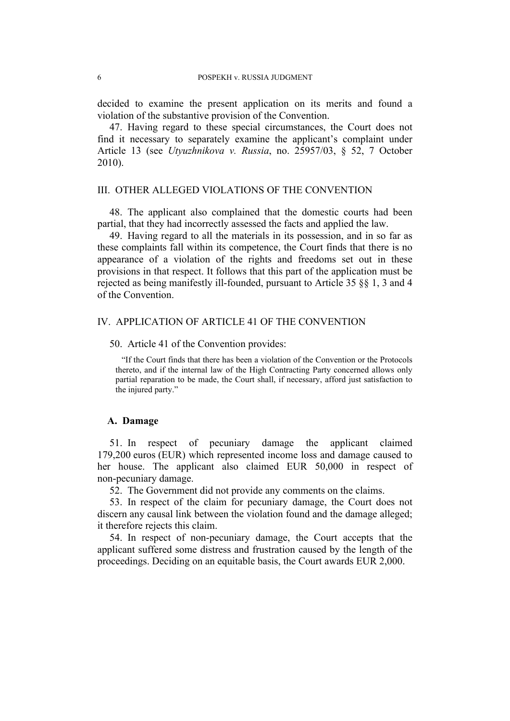decided to examine the present application on its merits and found a violation of the substantive provision of the Convention.

47. Having regard to these special circumstances, the Court does not find it necessary to separately examine the applicant's complaint under Article 13 (see *Utyuzhnikova v. Russia*, no. 25957/03, § 52, 7 October 2010).

#### III. OTHER ALLEGED VIOLATIONS OF THE CONVENTION

48. The applicant also complained that the domestic courts had been partial, that they had incorrectly assessed the facts and applied the law.

49. Having regard to all the materials in its possession, and in so far as these complaints fall within its competence, the Court finds that there is no appearance of a violation of the rights and freedoms set out in these provisions in that respect. It follows that this part of the application must be rejected as being manifestly ill-founded, pursuant to Article 35 §§ 1, 3 and 4 of the Convention.

#### IV. APPLICATION OF ARTICLE 41 OF THE CONVENTION

#### 50. Article 41 of the Convention provides:

"If the Court finds that there has been a violation of the Convention or the Protocols thereto, and if the internal law of the High Contracting Party concerned allows only partial reparation to be made, the Court shall, if necessary, afford just satisfaction to the injured party."

#### **A. Damage**

51. In respect of pecuniary damage the applicant claimed 179,200 euros (EUR) which represented income loss and damage caused to her house. The applicant also claimed EUR 50,000 in respect of non-pecuniary damage.

52. The Government did not provide any comments on the claims.

53. In respect of the claim for pecuniary damage, the Court does not discern any causal link between the violation found and the damage alleged; it therefore rejects this claim.

54. In respect of non-pecuniary damage, the Court accepts that the applicant suffered some distress and frustration caused by the length of the proceedings. Deciding on an equitable basis, the Court awards EUR 2,000.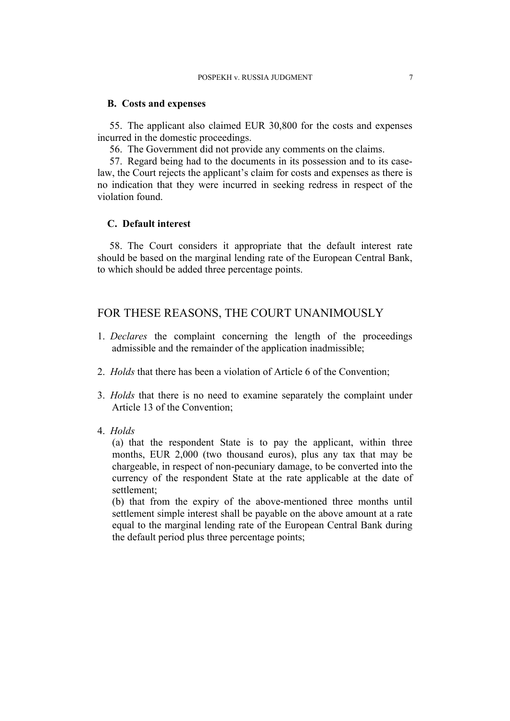#### **B. Costs and expenses**

55. The applicant also claimed EUR 30,800 for the costs and expenses incurred in the domestic proceedings.

56. The Government did not provide any comments on the claims.

57. Regard being had to the documents in its possession and to its caselaw, the Court rejects the applicant's claim for costs and expenses as there is no indication that they were incurred in seeking redress in respect of the violation found.

#### **C. Default interest**

58. The Court considers it appropriate that the default interest rate should be based on the marginal lending rate of the European Central Bank, to which should be added three percentage points.

## FOR THESE REASONS, THE COURT UNANIMOUSLY

- 1. *Declares* the complaint concerning the length of the proceedings admissible and the remainder of the application inadmissible;
- 2. *Holds* that there has been a violation of Article 6 of the Convention;
- 3. *Holds* that there is no need to examine separately the complaint under Article 13 of the Convention;
- 4. *Holds*

(a) that the respondent State is to pay the applicant, within three months, EUR 2,000 (two thousand euros), plus any tax that may be chargeable, in respect of non-pecuniary damage, to be converted into the currency of the respondent State at the rate applicable at the date of settlement;

(b) that from the expiry of the above-mentioned three months until settlement simple interest shall be payable on the above amount at a rate equal to the marginal lending rate of the European Central Bank during the default period plus three percentage points;